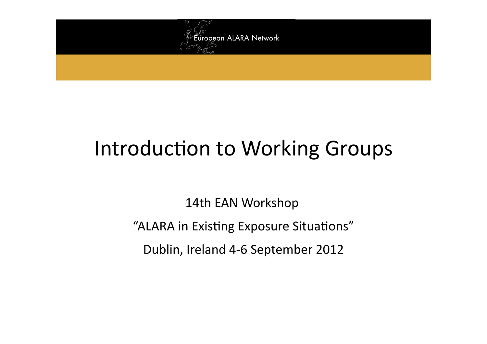

# Introduction to Working Groups

14th EAN Workshop "ALARA in Existing Exposure Situations" Dublin, Ireland 4-6 September 2012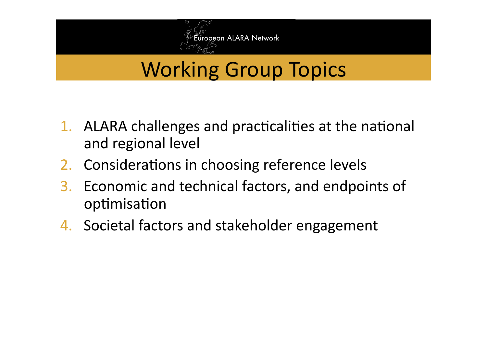

### **Working Group Topics**

- 1. ALARA challenges and practicalities at the national and regional level
- 2. Considerations in choosing reference levels
- Economic and technical factors, and endpoints of  $3.$ optimisation
- 4. Societal factors and stakeholder engagement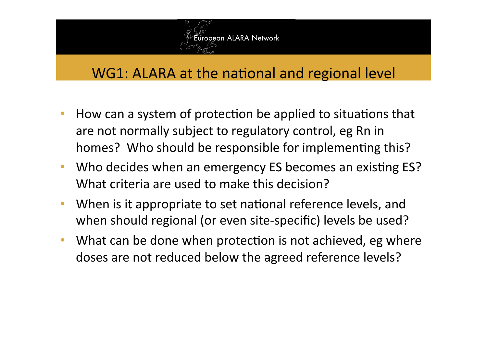

### WG1: ALARA at the national and regional level

- How can a system of protection be applied to situations that are not normally subject to regulatory control, eg Rn in homes? Who should be responsible for implementing this?
- Who decides when an emergency ES becomes an existing ES? What criteria are used to make this decision?
- When is it appropriate to set national reference levels, and when should regional (or even site-specific) levels be used?
- What can be done when protection is not achieved, eg where doses are not reduced below the agreed reference levels?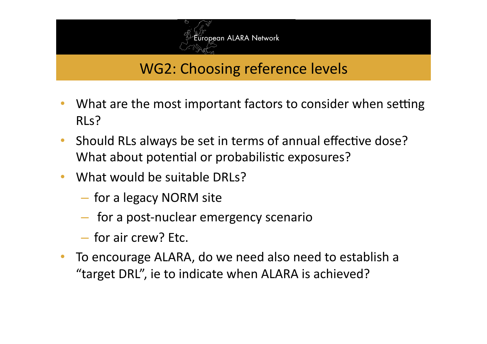

### WG2: Choosing reference levels

- What are the most important factors to consider when setting RLs?
- Should RLs always be set in terms of annual effective dose? What about potential or probabilistic exposures?
- What would be suitable DRLs?
	- for a legacy NORM site
	- for a post‐nuclear emergency scenario
	- for air crew? Etc.
- To encourage ALARA, do we need also need to establish a "target DRL", ie to indicate when ALARA is achieved?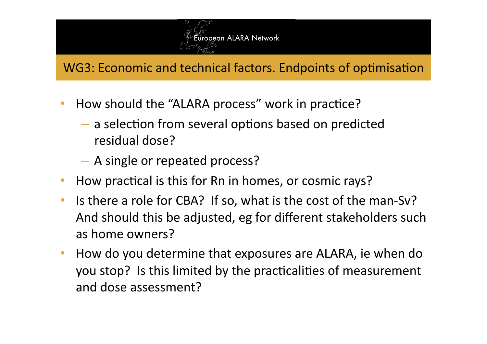

#### WG3: Economic and technical factors. Endpoints of optimisation

- How should the "ALARA process" work in practice?
	- $-$  a selection from several options based on predicted residual dose?
	- A single or repeated process?
- How practical is this for Rn in homes, or cosmic rays?
- Is there a role for CBA? If so, what is the cost of the man-Sv? And should this be adjusted, eg for different stakeholders such as home owners?
- How do you determine that exposures are ALARA, ie when do you stop? Is this limited by the practicalities of measurement and dose assessment?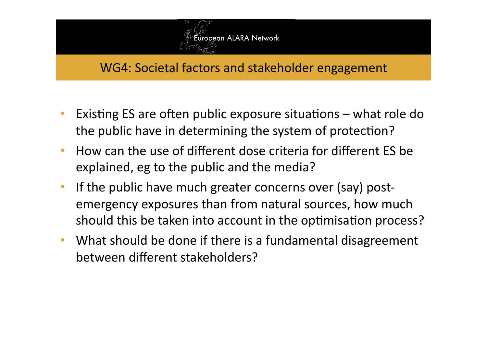

#### WG4: Societal factors and stakeholder engagement

- Existing ES are often public exposure situations  $-$  what role do the public have in determining the system of protection?
- How can the use of different dose criteria for different ES be explained, eg to the public and the media?
- If the public have much greater concerns over (say) postemergency exposures than from natural sources, how much should this be taken into account in the optimisation process?
- What should be done if there is a fundamental disagreement between different stakeholders?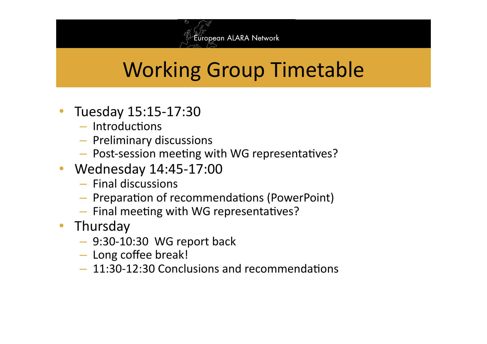

# Working Group Timetable

- Tuesday 15:15-17:30
	- $-$  Introductions
	- Preliminary discussions
	- Post-session meeting with WG representatives?
- Wednesday 14:45-17:00
	- Final discussions
	- Preparation of recommendations (PowerPoint)
	- $-$  Final meeting with WG representatives?
- Thursday
	- 9:30‐10:30 WG report back
	- Long coffee break!
	- $-11:30-12:30$  Conclusions and recommendations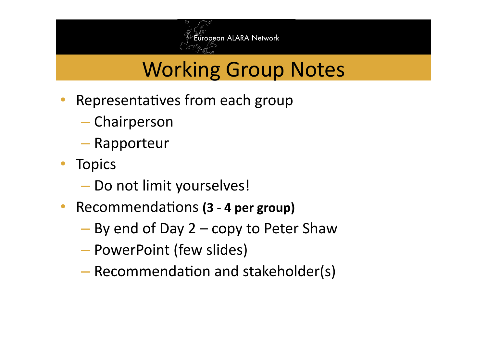

## Working Group Notes

- $\cdot$  Representatives from each group
	- Chairperson
	- Rapporteur
- Topics
	- Do not limit yourselves!
- Recommendations **(3 4 per group)** 
	- By end of Day 2 copy to Peter Shaw
	- PowerPoint (few slides)
	- $-$  Recommendation and stakeholder(s)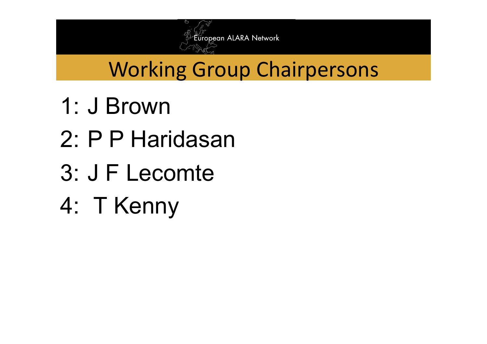

## Working Group Chairpersons

- 1: J Brown
- 2: P P Haridasan
- 3: J F Lecomte
- 4: T Kenny